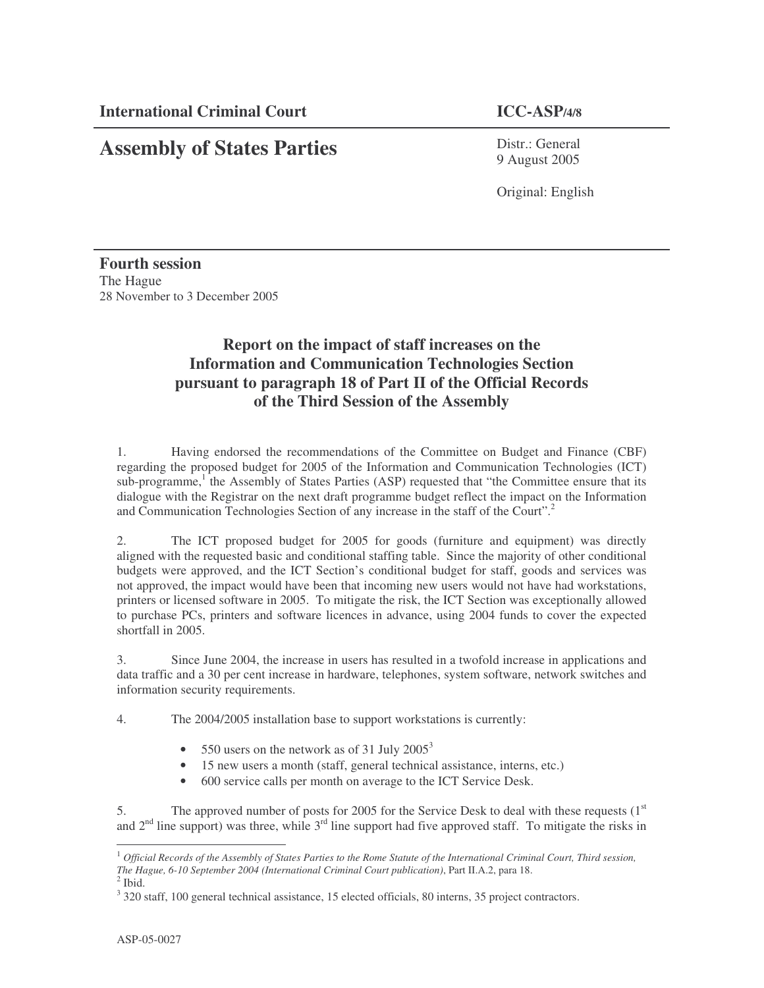**Assembly of States Parties**

Distr.: General 9 August 2005

Original: English

**Fourth session** The Hague 28 November to 3 December 2005

## **Report on the impact of staff increases on the Information and Communication Technologies Section pursuant to paragraph 18 of Part II of the Official Records of the Third Session of the Assembly**

1. Having endorsed the recommendations of the Committee on Budget and Finance (CBF) regarding the proposed budget for 2005 of the Information and Communication Technologies (ICT) sub-programme,<sup>1</sup> the Assembly of States Parties (ASP) requested that "the Committee ensure that its dialogue with the Registrar on the next draft programme budget reflect the impact on the Information and Communication Technologies Section of any increase in the staff of the Court". 2

2. The ICT proposed budget for 2005 for goods (furniture and equipment) was directly aligned with the requested basic and conditional staffing table. Since the majority of other conditional budgets were approved, and the ICT Section's conditional budget for staff, goods and services was not approved, the impact would have been that incoming new users would not have had workstations, printers or licensed software in 2005. To mitigate the risk, the ICT Section was exceptionally allowed to purchase PCs, printers and software licences in advance, using 2004 funds to cover the expected shortfall in 2005.

3. Since June 2004, the increase in users has resulted in a twofold increase in applications and data traffic and a 30 per cent increase in hardware, telephones, system software, network switches and information security requirements.

4. The 2004/2005 installation base to support workstations is currently:

- 550 users on the network as of 31 July  $2005^3$
- 15 new users a month (staff, general technical assistance, interns, etc.)
- 600 service calls per month on average to the ICT Service Desk.

5. The approved number of posts for 2005 for the Service Desk to deal with these requests  $(1<sup>st</sup>)$ and  $2<sup>nd</sup>$  line support) was three, while  $3<sup>rd</sup>$  line support had five approved staff. To mitigate the risks in

 $^1$  Official Records of the Assembly of States Parties to the Rome Statute of the International Criminal Court, Third session, *The Hague, 6-10 September 2004 (International Criminal Court publication)*, Part II.A.2, para 18.

 $<sup>2</sup>$  Ibid.</sup>

<sup>&</sup>lt;sup>3</sup> 320 staff, 100 general technical assistance, 15 elected officials, 80 interns, 35 project contractors.